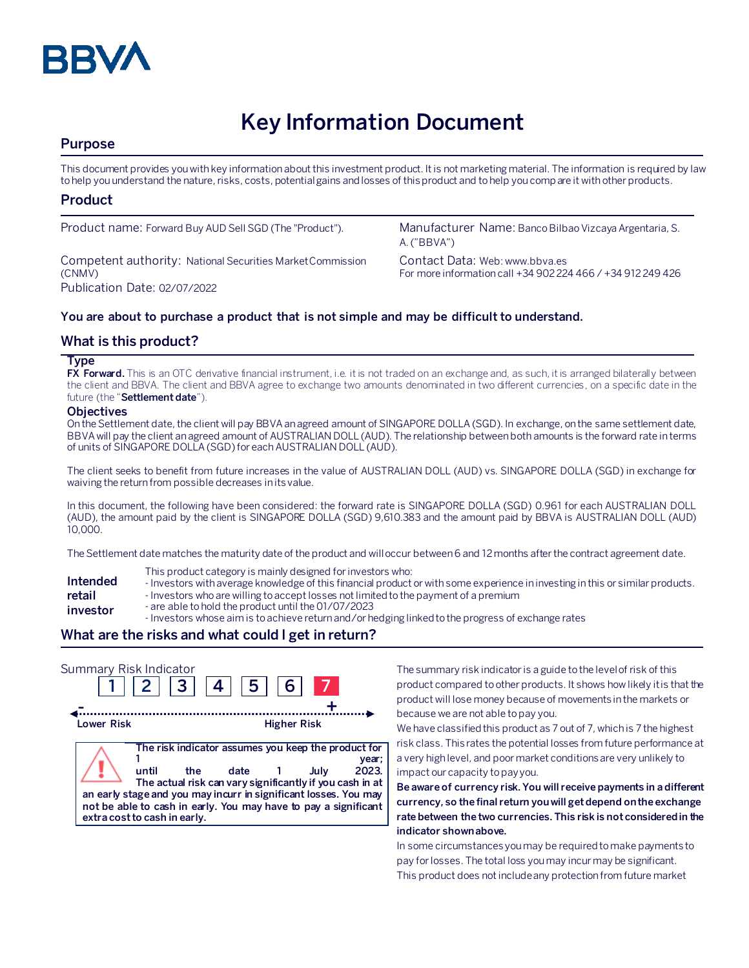

# **Key Information Document**

# **Purpose**

This document provides you with key information about this investment product. It is not marketing material. The information is required by law to help you understand the nature, risks, costs, potential gains and losses of this product and to help you compare it with other products.

# **Product**

Competent authority: National Securities Market Commission (CNMV) Publication Date: 02/07/2022

Product name: Forward Buy AUD Sell SGD (The "Product"). Manufacturer Name: Banco Bilbao Vizcaya Argentaria, S. A. ("BBVA")

> Contact Data: Web: www.bbva.es For more information call +34 902 224 466 / +34 912 249 426

## **You are about to purchase a product that is not simple and may be difficult to understand.**

# **What is this product?**

### **Type**

**FX Forward.** This is an OTC derivative financial instrument, i.e. it is not traded on an exchange and, as such, it is arranged bilaterally between the client and BBVA. The client and BBVA agree to exchange two amounts denominated in two different currencies, on a specific date in the future (the "**Settlement date**").

### **Objectives**

On the Settlement date, the client will pay BBVA an agreed amount of SINGAPORE DOLLA(SGD). In exchange, on the same settlement date, BBVA will pay the client an agreed amount of AUSTRALIAN DOLL (AUD). The relationship between both amounts is the forward rate in terms of units of SINGAPORE DOLLA (SGD) for each AUSTRALIAN DOLL (AUD).

The client seeks to benefit from future increases in the value of AUSTRALIAN DOLL (AUD) vs. SINGAPORE DOLLA (SGD) in exchange for waiving the return from possible decreases in its value.

In this document, the following have been considered: the forward rate is SINGAPORE DOLLA (SGD) 0.961 for each AUSTRALIAN DOLL (AUD), the amount paid by the client is SINGAPORE DOLLA (SGD) 9,610.383 and the amount paid by BBVA is AUSTRALIAN DOLL (AUD) 10,000.

The Settlement date matches the maturity date of the product and will occur between 6 and 12 months after the contract agreement date.

- This product category is mainly designed for investors who:
- **Intended**  - Investors with average knowledge of this financial product or with some experience in investing in this or similar products.
- **retail**  - Investors who are willing to accept losses not limited to the payment of a premium
- **investor**
- are able to hold the product until the 01/07/2023 - Investors whose aim is to achieve return and/or hedging linked to the progress of exchange rates
- 

## **What are the risks and what could I get in return?**



The summary risk indicator is a guide to the level of risk of this product compared to other products. It shows how likely it is that the product will lose money because of movements in the markets or because we are not able to pay you.

We have classified this product as 7 out of 7, which is 7 the highest risk class. This rates the potential losses from future performance at a very high level, and poor market conditions are very unlikely to impact our capacity to pay you.

**Be aware of currency risk. You will receive payments in a different currency, so the final return you will get depend on the exchange rate between the two currencies. This risk is not considered in the indicator shown above.**

In some circumstances you may be required to make payments to pay for losses. The total loss you may incur may be significant. This product does not include any protection from future market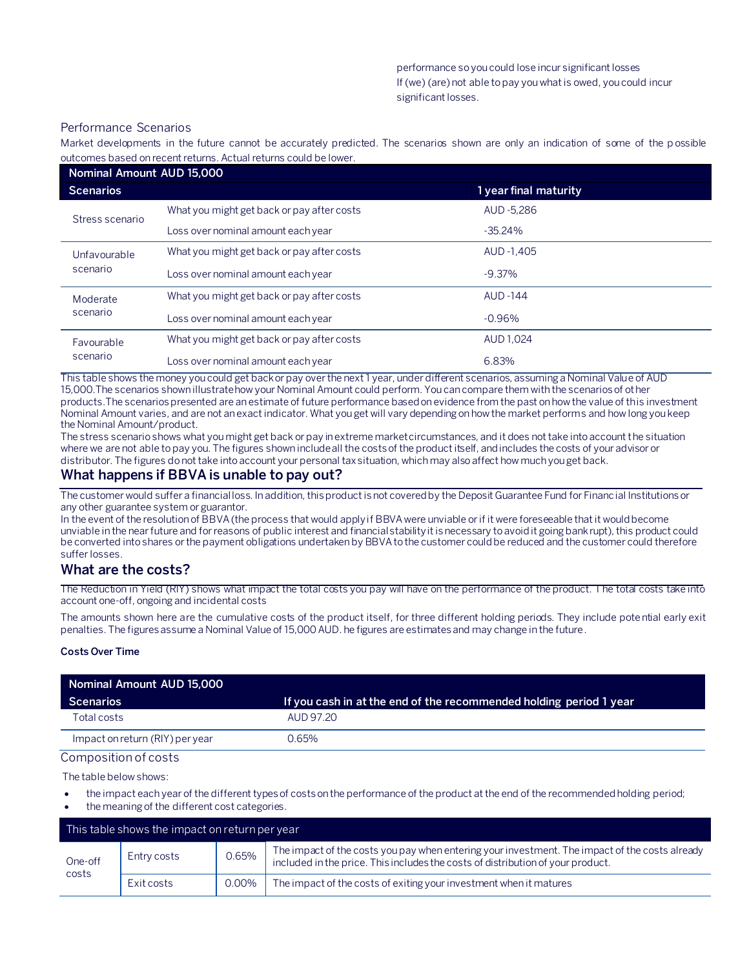## Performance Scenarios

Market developments in the future cannot be accurately predicted. The scenarios shown are only an indication of some of the p ossible outcomes based on recent returns. Actual returns could be lower.

| Nominal Amount AUD 15,000 |                                            |                       |  |  |  |
|---------------------------|--------------------------------------------|-----------------------|--|--|--|
| <b>Scenarios</b>          |                                            | 1 year final maturity |  |  |  |
| Stress scenario           | What you might get back or pay after costs | AUD -5.286            |  |  |  |
|                           | Loss over nominal amount each year         | $-35.24\%$            |  |  |  |
| Unfavourable<br>scenario  | What you might get back or pay after costs | AUD -1,405            |  |  |  |
|                           | Loss over nominal amount each year         | $-9.37\%$             |  |  |  |
| Moderate<br>scenario      | What you might get back or pay after costs | <b>AUD -144</b>       |  |  |  |
|                           | Loss over nominal amount each year         | $-0.96%$              |  |  |  |
| Favourable<br>scenario    | What you might get back or pay after costs | AUD 1.024             |  |  |  |
|                           | Loss over nominal amount each year         | 6.83%                 |  |  |  |

This table shows the money you could get back or pay over the next 1 year, under different scenarios, assuming a Nominal Value of AUD 15,000.The scenarios shown illustrate how your Nominal Amount could perform. You can compare them with the scenarios of other products.The scenarios presented are an estimate of future performance based on evidence from the past on how the value of this investment Nominal Amount varies, and are not an exact indicator. What you get will vary depending on how the market performs and how long you keep the Nominal Amount/product.

The stress scenario shows what you might get back or pay in extreme market circumstances, and it does not take into account the situation where we are not able to pay you. The figures shown include all the costs of the product itself, and includes the costs of your advisor or distributor. The figures do not take into account your personal tax situation, which may also affect how much you get back.

# **What happens if BBVA is unable to pay out?**

The customer would suffer a financial loss. In addition, this product is not covered by the Deposit Guarantee Fund for Financial Institutions or any other guarantee system or guarantor.

In the event of the resolution of BBVA (the process that would apply if BBVA were unviable or if it were foreseeable that it would become unviable in the near future and for reasons of public interest and financial stability it is necessary to avoid it going bankrupt), this product could be converted into shares or the payment obligations undertaken by BBVA to the customer could be reduced and the customer could therefore suffer losses.

# **What are the costs?**

The Reduction in Yield (RIY) shows what impact the total costs you pay will have on the performance of the product. The total costs take into account one-off, ongoing and incidental costs

The amounts shown here are the cumulative costs of the product itself, for three different holding periods. They include potential early exit penalties. The figures assume a Nominal Value of 15,000 AUD. he figures are estimates and may change in the future.

#### **Costs Over Time**

| Nominal Amount AUD 15,000       |                                                                    |  |  |  |
|---------------------------------|--------------------------------------------------------------------|--|--|--|
| Scenarios                       | If you cash in at the end of the recommended holding period 1 year |  |  |  |
| Total costs                     | AUD 97.20                                                          |  |  |  |
| Impact on return (RIY) per year | ገ.65%                                                              |  |  |  |

#### Composition of costs

The table below shows:

- the impact each year of the different types of costs on the performance of the product at the end of the recommended holding period;
- the meaning of the different cost categories.

| This table shows the impact on return per year ' |             |       |                                                                                                                                                                                   |  |  |
|--------------------------------------------------|-------------|-------|-----------------------------------------------------------------------------------------------------------------------------------------------------------------------------------|--|--|
| One-off<br>costs                                 | Entry costs | 0.65% | The impact of the costs you pay when entering your investment. The impact of the costs already<br>included in the price. This includes the costs of distribution of your product. |  |  |
|                                                  | Exit costs  | 0.00% | The impact of the costs of exiting your investment when it matures                                                                                                                |  |  |